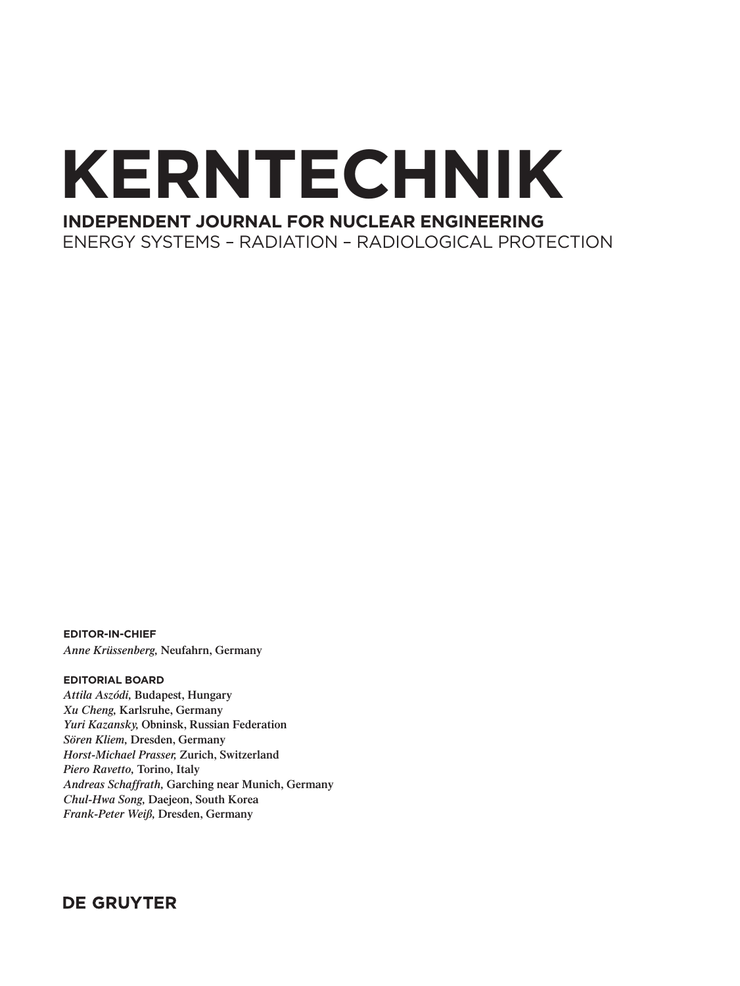# **KERNTECHNIK**

# **INDEPENDENT JOURNAL FOR NUCLEAR ENGINEERING**

ENERGY SYSTEMS – RADIATION – RADIOLOGICAL PROTECTION

**EDITOR-IN-CHIEF** *Anne Krüssenberg,* **Neufahrn, Germany**

#### **EDITORIAL BOARD**

*Attila Aszódi,* **Budapest, Hungary** *Xu Cheng,* **Karlsruhe, Germany**  *Yuri Kazansky,* **Obninsk, Russian Federation** *Sören Kliem,* **Dresden, Germany** *Horst-Michael Prasser,* **Zurich, Switzerland** *Piero Ravetto,* **Torino, Italy** *Andreas Schaffrath,* **Garching near Munich, Germany** *Chul-Hwa Song,* **Daejeon, South Korea** *Frank-Peter Weiß,* **Dresden, Germany**

### **DE GRUYTER**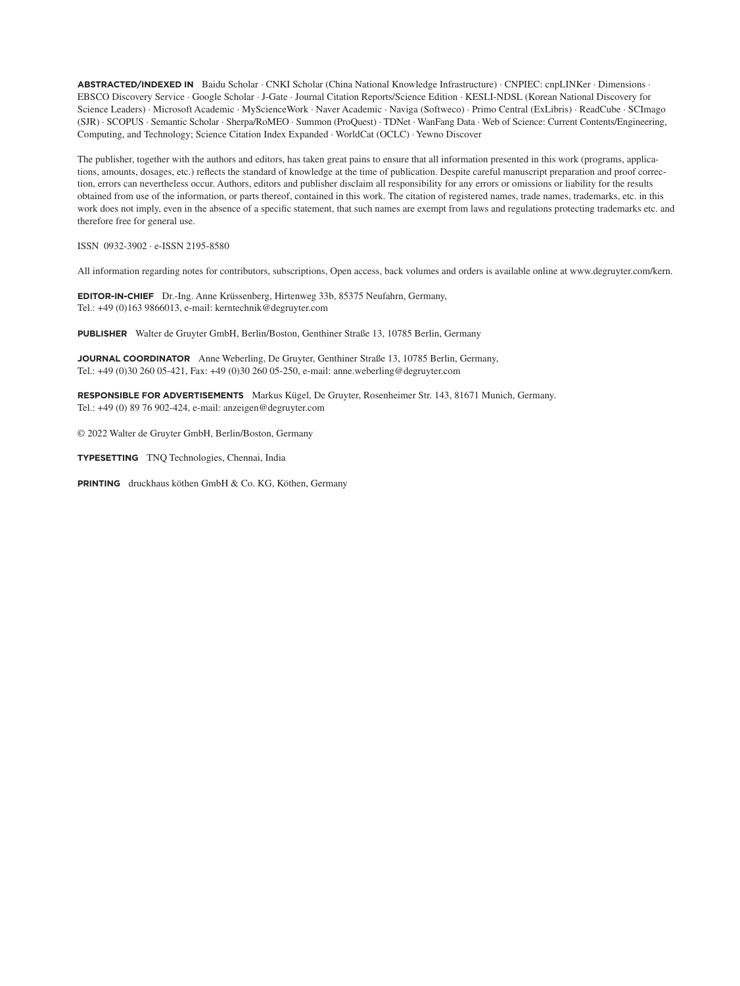**ABSTRACTED/INDEXED IN** Baidu Scholar · CNKI Scholar (China National Knowledge Infrastructure) · CNPIEC: cnpLINKer · Dimensions · EBSCO Discovery Service · Google Scholar · J-Gate · Journal Citation Reports/Science Edition · KESLI-NDSL (Korean National Discovery for Science Leaders) · Microsoft Academic · MyScienceWork · Naver Academic · Naviga (Softweco) · Primo Central (ExLibris) · ReadCube · SCImago (SJR) · SCOPUS · Semantic Scholar · Sherpa/RoMEO · Summon (ProQuest) · TDNet · WanFang Data · Web of Science: Current Contents/Engineering, Computing, and Technology; Science Citation Index Expanded · WorldCat (OCLC) · Yewno Discover

The publisher, together with the authors and editors, has taken great pains to ensure that all information presented in this work (programs, applications, amounts, dosages, etc.) reflects the standard of knowledge at the time of publication. Despite careful manuscript preparation and proof correction, errors can nevertheless occur. Authors, editors and publisher disclaim all responsibility for any errors or omissions or liability for the results obtained from use of the information, or parts thereof, contained in this work. The citation of registered names, trade names, trademarks, etc. in this work does not imply, even in the absence of a specific statement, that such names are exempt from laws and regulations protecting trademarks etc. and therefore free for general use.

ISSN 0932-3902 ∙ e-ISSN 2195-8580

All information regarding notes for contributors, subscriptions, Open access, back volumes and orders is available online at www.degruyter.com/kern.

**EDITOR-IN-CHIEF** Dr.-Ing. Anne Krüssenberg, Hirtenweg 33b, 85375 Neufahrn, Germany, Tel.: +49 (0)163 9866013, e-mail: kerntechnik@degruyter.com

**PUBLISHER** Walter de Gruyter GmbH, Berlin/Boston, Genthiner Straße 13, 10785 Berlin, Germany

**JOURNAL COORDINATOR** Anne Weberling, De Gruyter, Genthiner Straße 13, 10785 Berlin, Germany, Tel.: +49 (0)30 260 05-421, Fax: +49 (0)30 260 05-250, e-mail: anne.weberling@degruyter.com

**RESPONSIBLE FOR ADVERTISEMENTS** Markus Kügel, De Gruyter, Rosenheimer Str. 143, 81671 Munich, Germany. Tel.: +49 (0) 89 76 902-424, e-mail: anzeigen@degruyter.com

© 2022 Walter de Gruyter GmbH, Berlin/Boston, Germany

**TYPESETTING** TNQ Technologies, Chennai, India

PRINTING druckhaus köthen GmbH & Co. KG, Köthen, Germany